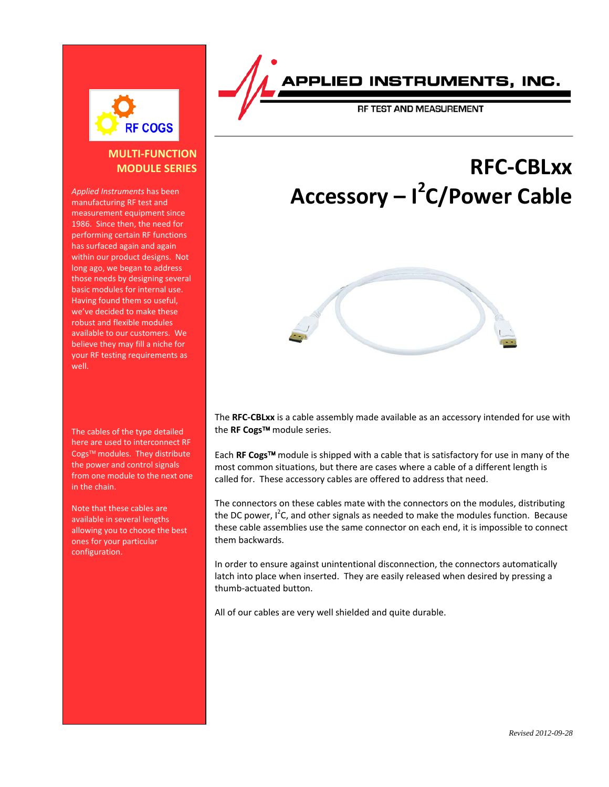

# **MULTI-FUNCTION MODULE SERIES**

*Applied Instruments* has been manufacturing RF test and measurement equipment since 1986. Since then, the need for performing certain RF functions has surfaced again and again within our product designs. Not long ago, we began to address those needs by designing several basic modules for internal use. Having found them so useful, we've decided to make these robust and flexible modules available to our customers. We believe they may fill a niche for your RF testing requirements as well.

The cables of the type detailed here are used to interconnect RF Cogs™ modules. They distribute the power and control signals from one module to the next one in the chain.

Note that these cables are available in several lengths allowing you to choose the best ones for your particular configuration.

PPLIED INSTRUMENTS, INC.

**RF TEST AND MEASUREMENT** 

# **RFC-CBLxx Accessory – I 2 C/Power Cable**



The **RFC-CBLxx** is a cable assembly made available as an accessory intended for use with the **RF Cogs™** module series.

Each **RF Cogs** module is shipped with a cable that is satisfactory for use in many of the most common situations, but there are cases where a cable of a different length is called for. These accessory cables are offered to address that need.

The connectors on these cables mate with the connectors on the modules, distributing the DC power,  $I^2C$ , and other signals as needed to make the modules function. Because these cable assemblies use the same connector on each end, it is impossible to connect them backwards.

In order to ensure against unintentional disconnection, the connectors automatically latch into place when inserted. They are easily released when desired by pressing a thumb-actuated button.

All of our cables are very well shielded and quite durable.